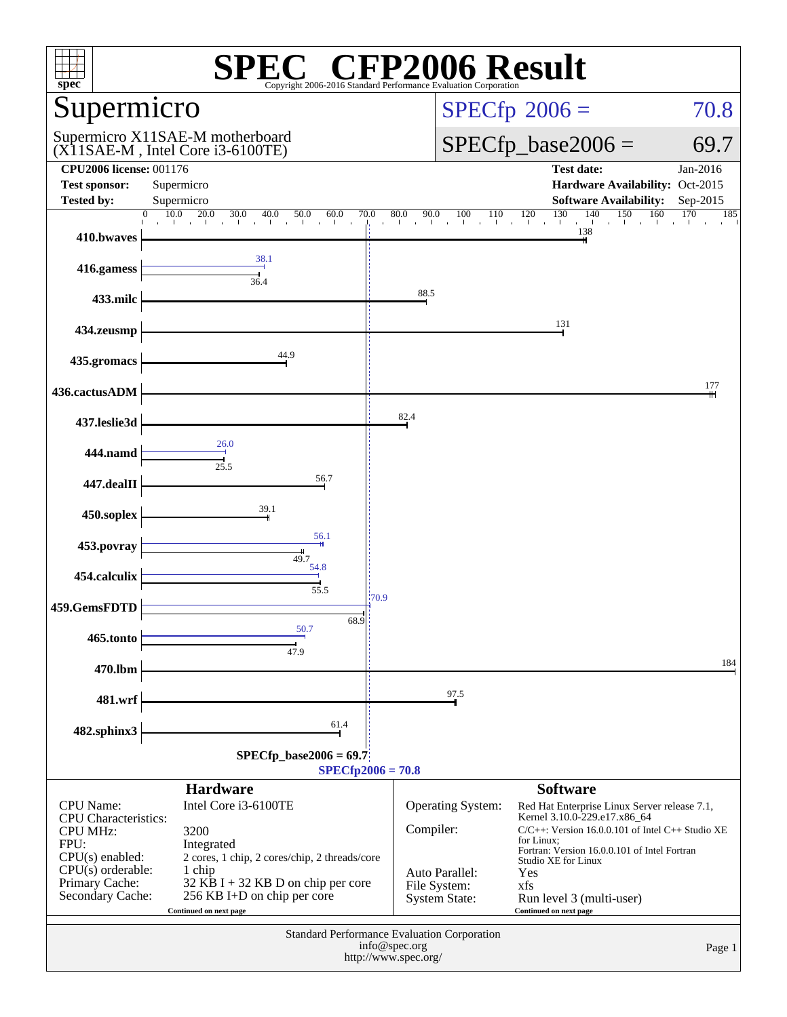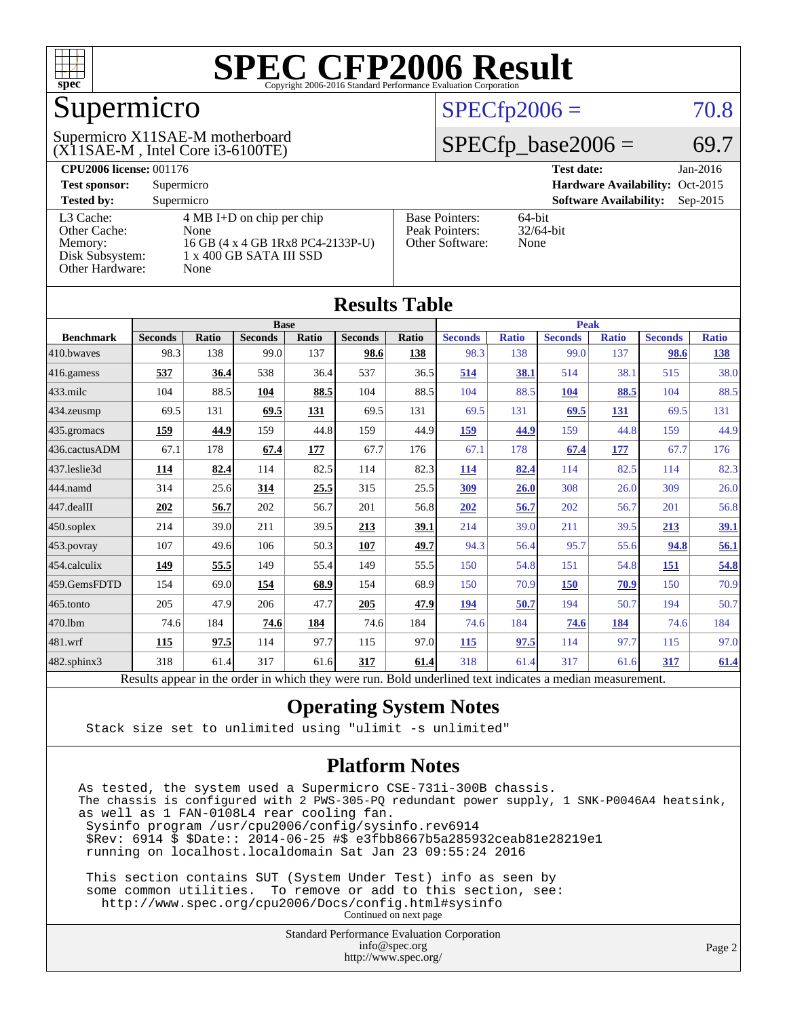

### Supermicro

#### (X11SAE-M , Intel Core i3-6100TE) Supermicro X11SAE-M motherboard

#### $SPECfp2006 = 70.8$  $SPECfp2006 = 70.8$

#### $SPECfp\_base2006 = 69.7$

| <b>CPU2006 license: 001176</b>                |                                                                      |                                         | <b>Test date:</b><br>Jan-2016               |  |  |  |
|-----------------------------------------------|----------------------------------------------------------------------|-----------------------------------------|---------------------------------------------|--|--|--|
| <b>Test sponsor:</b>                          | Supermicro                                                           |                                         | Hardware Availability: Oct-2015             |  |  |  |
| <b>Tested by:</b>                             | Supermicro                                                           |                                         | <b>Software Availability:</b><br>$Sep-2015$ |  |  |  |
| L3 Cache:<br>Other Cache:                     | $4 \text{ MB I+D}$ on chip per chip<br>None                          | <b>Base Pointers:</b><br>Peak Pointers: | $64$ -bit<br>$32/64$ -bit                   |  |  |  |
| Memory:<br>Disk Subsystem:<br>Other Hardware: | 16 GB (4 x 4 GB 1Rx8 PC4-2133P-U)<br>1 x 400 GB SATA III SSD<br>None | Other Software:                         | None                                        |  |  |  |

**[Results Table](http://www.spec.org/auto/cpu2006/Docs/result-fields.html#ResultsTable)**

| Results Table    |                                                                                                          |              |                |       |                |       |                |              |                |              |                |              |
|------------------|----------------------------------------------------------------------------------------------------------|--------------|----------------|-------|----------------|-------|----------------|--------------|----------------|--------------|----------------|--------------|
|                  | <b>Base</b>                                                                                              |              |                |       |                |       | <b>Peak</b>    |              |                |              |                |              |
| <b>Benchmark</b> | <b>Seconds</b>                                                                                           | <b>Ratio</b> | <b>Seconds</b> | Ratio | <b>Seconds</b> | Ratio | <b>Seconds</b> | <b>Ratio</b> | <b>Seconds</b> | <b>Ratio</b> | <b>Seconds</b> | <b>Ratio</b> |
| 410.bwayes       | 98.3                                                                                                     | 138          | 99.0           | 137   | 98.6           | 138   | 98.3           | 138          | 99.0           | 137          | 98.6           | <u>138</u>   |
| 416.gamess       | 537                                                                                                      | 36.4         | 538            | 36.4  | 537            | 36.5  | 514            | 38.1         | 514            | 38.1         | 515            | 38.0         |
| $433$ .milc      | 104                                                                                                      | 88.5         | 104            | 88.5  | 104            | 88.5  | 104            | 88.5         | 104            | 88.5         | 104            | 88.5         |
| 434.zeusmp       | 69.5                                                                                                     | 131          | 69.5           | 131   | 69.5           | 131   | 69.5           | 131          | 69.5           | 131          | 69.5           | 131          |
| 435 gromacs      | 159                                                                                                      | 44.9         | 159            | 44.8  | 159            | 44.9  | 159            | 44.9         | 159            | 44.8         | 159            | 44.9         |
| 436.cactusADM    | 67.1                                                                                                     | 178          | 67.4           | 177   | 67.7           | 176   | 67.1           | 178          | 67.4           | 177          | 67.7           | 176          |
| 437.leslie3d     | 114                                                                                                      | 82.4         | 114            | 82.5  | 114            | 82.3  | <u>114</u>     | 82.4         | 114            | 82.5         | 114            | 82.3         |
| 444.namd         | 314                                                                                                      | 25.6         | 314            | 25.5  | 315            | 25.5  | 309            | 26.0         | 308            | 26.0         | 309            | 26.0         |
| 447.dealII       | 202                                                                                                      | 56.7         | 202            | 56.7  | 201            | 56.8  | 202            | 56.7         | 202            | 56.7         | 201            | 56.8         |
| $450$ .soplex    | 214                                                                                                      | 39.0         | 211            | 39.5  | 213            | 39.1  | 214            | 39.0         | 211            | 39.5         | 213            | 39.1         |
| 453.povray       | 107                                                                                                      | 49.6         | 106            | 50.3  | 107            | 49.7  | 94.3           | 56.4         | 95.7           | 55.6         | 94.8           | 56.1         |
| 454.calculix     | 149                                                                                                      | 55.5         | 149            | 55.4  | 149            | 55.5  | 150            | 54.8         | 151            | 54.8         | 151            | 54.8         |
| 459.GemsFDTD     | 154                                                                                                      | 69.0         | 154            | 68.9  | 154            | 68.9  | 150            | 70.9         | 150            | 70.9         | 150            | 70.9         |
| $465$ .tonto     | 205                                                                                                      | 47.9         | 206            | 47.7  | 205            | 47.9  | 194            | 50.7         | 194            | 50.7         | 194            | 50.7         |
| 470.1bm          | 74.6                                                                                                     | 184          | 74.6           | 184   | 74.6           | 184   | 74.6           | 184          | 74.6           | 184          | 74.6           | 184          |
| 481.wrf          | 115                                                                                                      | 97.5         | 114            | 97.7  | 115            | 97.0  | <u>115</u>     | 97.5         | 114            | 97.7         | 115            | 97.0         |
| 482.sphinx3      | 318                                                                                                      | 61.4         | 317            | 61.6  | 317            | 61.4  | 318            | 61.4         | 317            | 61.6         | 317            | 61.4         |
|                  | Results appear in the order in which they were run. Bold underlined text indicates a median measurement. |              |                |       |                |       |                |              |                |              |                |              |

#### **[Operating System Notes](http://www.spec.org/auto/cpu2006/Docs/result-fields.html#OperatingSystemNotes)**

Stack size set to unlimited using "ulimit -s unlimited"

#### **[Platform Notes](http://www.spec.org/auto/cpu2006/Docs/result-fields.html#PlatformNotes)**

As tested, the system used a Supermicro CSE-731i-300B chassis. The chassis is configured with 2 PWS-305-PQ redundant power supply, 1 SNK-P0046A4 heatsink, as well as 1 FAN-0108L4 rear cooling fan. Sysinfo program /usr/cpu2006/config/sysinfo.rev6914 \$Rev: 6914 \$ \$Date:: 2014-06-25 #\$ e3fbb8667b5a285932ceab81e28219e1 running on localhost.localdomain Sat Jan 23 09:55:24 2016 This section contains SUT (System Under Test) info as seen by

 some common utilities. To remove or add to this section, see: <http://www.spec.org/cpu2006/Docs/config.html#sysinfo>

Continued on next page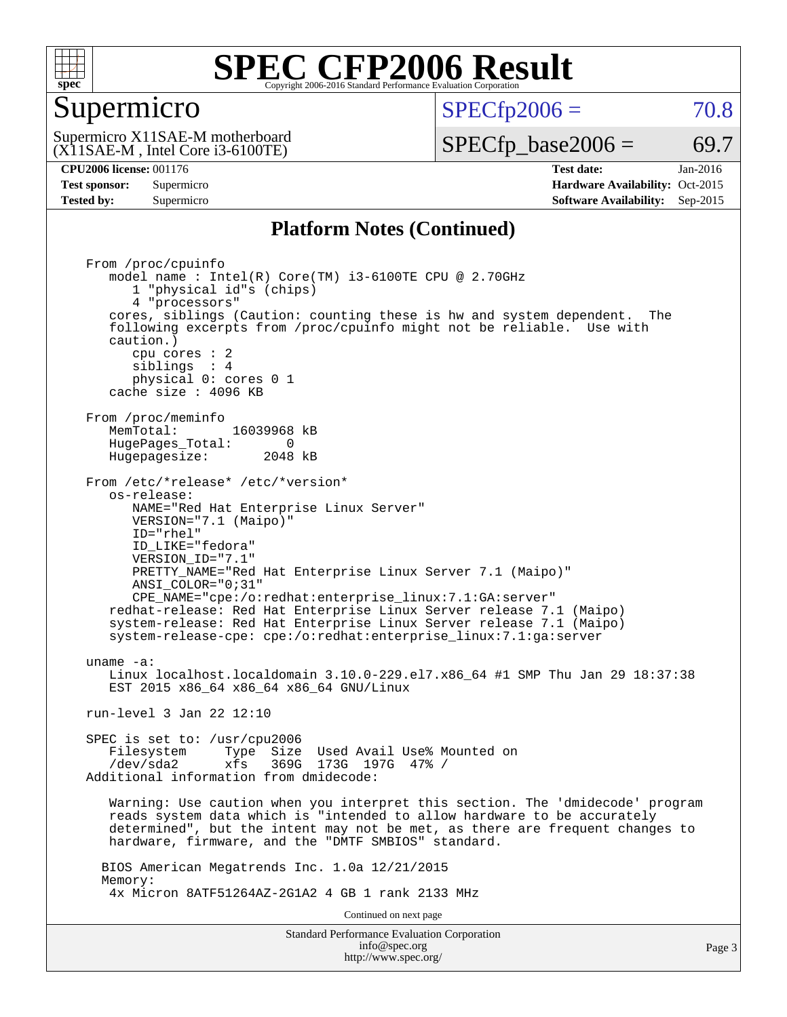

#### Supermicro

 $SPECTp2006 = 70.8$ 

(X11SAE-M , Intel Core i3-6100TE) Supermicro X11SAE-M motherboard  $SPECTp\_base2006 = 69.7$ 

**[CPU2006 license:](http://www.spec.org/auto/cpu2006/Docs/result-fields.html#CPU2006license)** 001176 **[Test date:](http://www.spec.org/auto/cpu2006/Docs/result-fields.html#Testdate)** Jan-2016 **[Test sponsor:](http://www.spec.org/auto/cpu2006/Docs/result-fields.html#Testsponsor)** Supermicro Supermicro **[Hardware Availability:](http://www.spec.org/auto/cpu2006/Docs/result-fields.html#HardwareAvailability)** Oct-2015 **[Tested by:](http://www.spec.org/auto/cpu2006/Docs/result-fields.html#Testedby)** Supermicro **Supermicro [Software Availability:](http://www.spec.org/auto/cpu2006/Docs/result-fields.html#SoftwareAvailability)** Sep-2015

#### **[Platform Notes \(Continued\)](http://www.spec.org/auto/cpu2006/Docs/result-fields.html#PlatformNotes)**

Standard Performance Evaluation Corporation [info@spec.org](mailto:info@spec.org) Page 3 From /proc/cpuinfo model name :  $Intel(R) Core(TM) i3-6100TE CPU @ 2.70GHz$  1 "physical id"s (chips) 4 "processors" cores, siblings (Caution: counting these is hw and system dependent. The following excerpts from /proc/cpuinfo might not be reliable. Use with caution.) cpu cores : 2 siblings : 4 physical 0: cores 0 1 cache size : 4096 KB From /proc/meminfo MemTotal: 16039968 kB HugePages\_Total: 0<br>Hugepagesize: 2048 kB Hugepagesize: From /etc/\*release\* /etc/\*version\* os-release: NAME="Red Hat Enterprise Linux Server" VERSION="7.1 (Maipo)" ID="rhel" ID\_LIKE="fedora" VERSION\_ID="7.1" PRETTY\_NAME="Red Hat Enterprise Linux Server 7.1 (Maipo)" ANSI\_COLOR="0;31" CPE\_NAME="cpe:/o:redhat:enterprise\_linux:7.1:GA:server" redhat-release: Red Hat Enterprise Linux Server release 7.1 (Maipo) system-release: Red Hat Enterprise Linux Server release 7.1 (Maipo) system-release-cpe: cpe:/o:redhat:enterprise\_linux:7.1:ga:server uname -a: Linux localhost.localdomain 3.10.0-229.el7.x86\_64 #1 SMP Thu Jan 29 18:37:38 EST 2015 x86 64 x86 64 x86 64 GNU/Linux run-level 3 Jan 22 12:10 SPEC is set to: /usr/cpu2006 Filesystem Type Size Used Avail Use% Mounted on /dev/sda2 xfs 369G 173G 197G 47% / Additional information from dmidecode: Warning: Use caution when you interpret this section. The 'dmidecode' program reads system data which is "intended to allow hardware to be accurately determined", but the intent may not be met, as there are frequent changes to hardware, firmware, and the "DMTF SMBIOS" standard. BIOS American Megatrends Inc. 1.0a 12/21/2015 Memory: 4x Micron 8ATF51264AZ-2G1A2 4 GB 1 rank 2133 MHz Continued on next page

<http://www.spec.org/>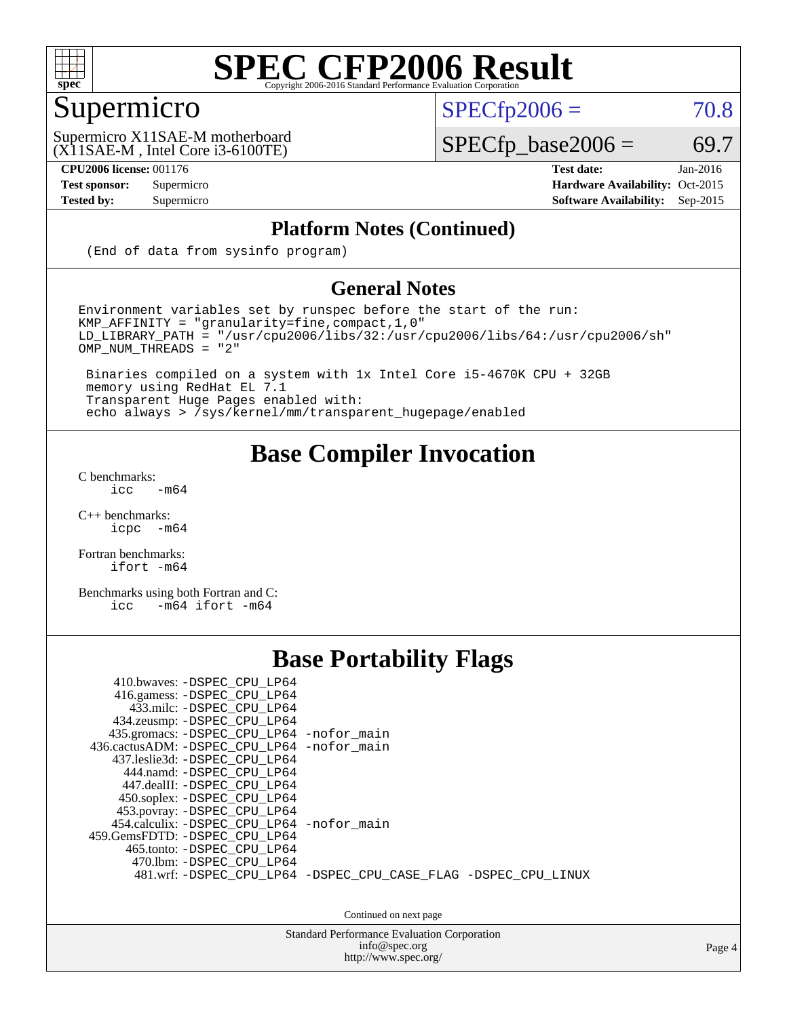

### Supermicro

 $SPECTp2006 = 70.8$ 

(X11SAE-M , Intel Core i3-6100TE) Supermicro X11SAE-M motherboard  $SPECfp\_base2006 = 69.7$ 

**[CPU2006 license:](http://www.spec.org/auto/cpu2006/Docs/result-fields.html#CPU2006license)** 001176 **[Test date:](http://www.spec.org/auto/cpu2006/Docs/result-fields.html#Testdate)** Jan-2016 **[Test sponsor:](http://www.spec.org/auto/cpu2006/Docs/result-fields.html#Testsponsor)** Supermicro Supermicro **[Hardware Availability:](http://www.spec.org/auto/cpu2006/Docs/result-fields.html#HardwareAvailability)** Oct-2015 **[Tested by:](http://www.spec.org/auto/cpu2006/Docs/result-fields.html#Testedby)** Supermicro **[Software Availability:](http://www.spec.org/auto/cpu2006/Docs/result-fields.html#SoftwareAvailability)** Sep-2015

#### **[Platform Notes \(Continued\)](http://www.spec.org/auto/cpu2006/Docs/result-fields.html#PlatformNotes)**

(End of data from sysinfo program)

#### **[General Notes](http://www.spec.org/auto/cpu2006/Docs/result-fields.html#GeneralNotes)**

Environment variables set by runspec before the start of the run: KMP\_AFFINITY = "granularity=fine,compact,1,0"  $LD$ \_LIBRARY\_PATH = "/usr/cpu2006/libs/32:/usr/cpu2006/libs/64:/usr/cpu2006/sh" OMP\_NUM\_THREADS = "2"

 Binaries compiled on a system with 1x Intel Core i5-4670K CPU + 32GB memory using RedHat EL 7.1 Transparent Huge Pages enabled with: echo always > /sys/kernel/mm/transparent\_hugepage/enabled

#### **[Base Compiler Invocation](http://www.spec.org/auto/cpu2006/Docs/result-fields.html#BaseCompilerInvocation)**

[C benchmarks](http://www.spec.org/auto/cpu2006/Docs/result-fields.html#Cbenchmarks):  $\text{icc}$  -m64

 $C++$  benchmarks:<br>icpc  $-m$ -m64

[Fortran benchmarks](http://www.spec.org/auto/cpu2006/Docs/result-fields.html#Fortranbenchmarks): [ifort -m64](http://www.spec.org/cpu2006/results/res2016q1/cpu2006-20160206-38972.flags.html#user_FCbase_intel_ifort_64bit_ee9d0fb25645d0210d97eb0527dcc06e)

[Benchmarks using both Fortran and C](http://www.spec.org/auto/cpu2006/Docs/result-fields.html#BenchmarksusingbothFortranandC): [icc -m64](http://www.spec.org/cpu2006/results/res2016q1/cpu2006-20160206-38972.flags.html#user_CC_FCbase_intel_icc_64bit_0b7121f5ab7cfabee23d88897260401c) [ifort -m64](http://www.spec.org/cpu2006/results/res2016q1/cpu2006-20160206-38972.flags.html#user_CC_FCbase_intel_ifort_64bit_ee9d0fb25645d0210d97eb0527dcc06e)

#### **[Base Portability Flags](http://www.spec.org/auto/cpu2006/Docs/result-fields.html#BasePortabilityFlags)**

| 410.bwaves: -DSPEC CPU LP64<br>416.gamess: -DSPEC CPU LP64<br>433.milc: -DSPEC CPU LP64<br>434.zeusmp: -DSPEC_CPU_LP64<br>435.gromacs: -DSPEC_CPU_LP64 -nofor_main<br>436.cactusADM: -DSPEC CPU LP64 -nofor main<br>437.leslie3d: -DSPEC CPU LP64<br>444.namd: -DSPEC CPU LP64<br>447.dealII: -DSPEC CPU LP64 |                                                                |
|---------------------------------------------------------------------------------------------------------------------------------------------------------------------------------------------------------------------------------------------------------------------------------------------------------------|----------------------------------------------------------------|
| 450.soplex: -DSPEC_CPU_LP64<br>453.povray: -DSPEC_CPU_LP64<br>454.calculix: -DSPEC CPU LP64 -nofor main<br>459. GemsFDTD: - DSPEC CPU LP64<br>465.tonto: -DSPEC CPU LP64<br>470.1bm: - DSPEC CPU LP64                                                                                                         |                                                                |
|                                                                                                                                                                                                                                                                                                               | 481.wrf: -DSPEC CPU_LP64 -DSPEC_CPU_CASE_FLAG -DSPEC_CPU_LINUX |

Continued on next page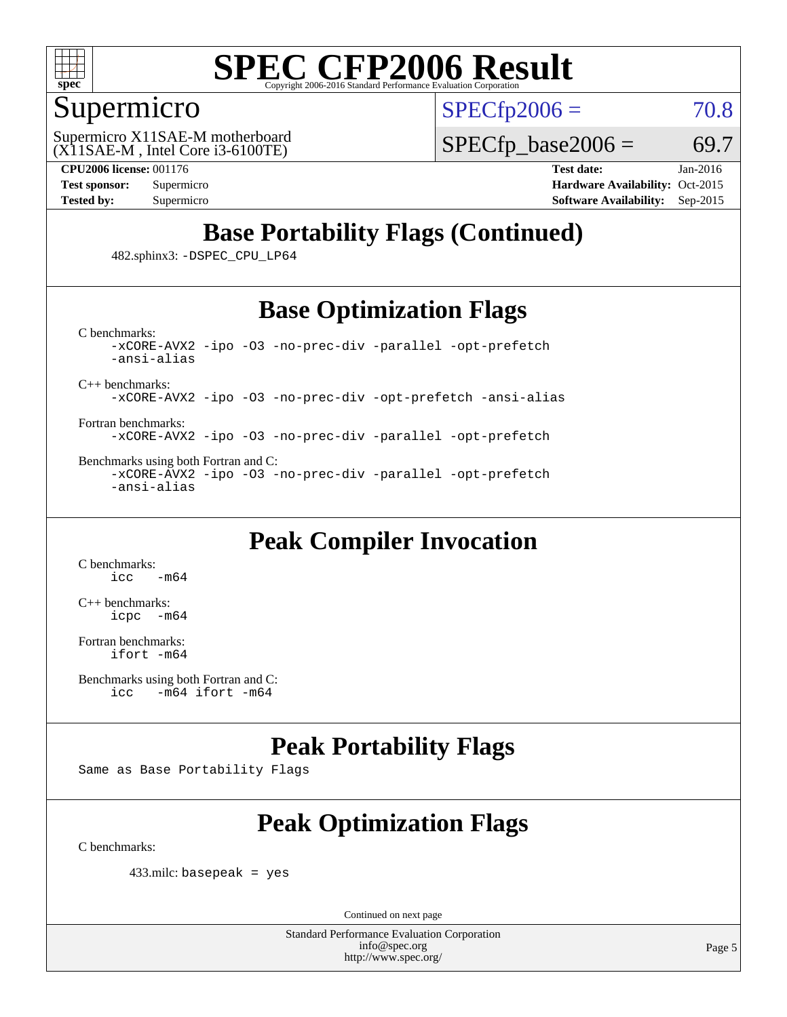

#### Supermicro

 $SPECTp2006 = 70.8$ 

(X11SAE-M , Intel Core i3-6100TE) Supermicro X11SAE-M motherboard  $SPECTp\_base2006 = 69.7$ 

**[CPU2006 license:](http://www.spec.org/auto/cpu2006/Docs/result-fields.html#CPU2006license)** 001176 **[Test date:](http://www.spec.org/auto/cpu2006/Docs/result-fields.html#Testdate)** Jan-2016

**[Test sponsor:](http://www.spec.org/auto/cpu2006/Docs/result-fields.html#Testsponsor)** Supermicro Supermicro **[Hardware Availability:](http://www.spec.org/auto/cpu2006/Docs/result-fields.html#HardwareAvailability)** Oct-2015 **[Tested by:](http://www.spec.org/auto/cpu2006/Docs/result-fields.html#Testedby)** Supermicro **Supermicro [Software Availability:](http://www.spec.org/auto/cpu2006/Docs/result-fields.html#SoftwareAvailability)** Sep-2015

#### **[Base Portability Flags \(Continued\)](http://www.spec.org/auto/cpu2006/Docs/result-fields.html#BasePortabilityFlags)**

482.sphinx3: [-DSPEC\\_CPU\\_LP64](http://www.spec.org/cpu2006/results/res2016q1/cpu2006-20160206-38972.flags.html#suite_basePORTABILITY482_sphinx3_DSPEC_CPU_LP64)

#### **[Base Optimization Flags](http://www.spec.org/auto/cpu2006/Docs/result-fields.html#BaseOptimizationFlags)**

[C benchmarks](http://www.spec.org/auto/cpu2006/Docs/result-fields.html#Cbenchmarks): [-xCORE-AVX2](http://www.spec.org/cpu2006/results/res2016q1/cpu2006-20160206-38972.flags.html#user_CCbase_f-xAVX2_5f5fc0cbe2c9f62c816d3e45806c70d7) [-ipo](http://www.spec.org/cpu2006/results/res2016q1/cpu2006-20160206-38972.flags.html#user_CCbase_f-ipo) [-O3](http://www.spec.org/cpu2006/results/res2016q1/cpu2006-20160206-38972.flags.html#user_CCbase_f-O3) [-no-prec-div](http://www.spec.org/cpu2006/results/res2016q1/cpu2006-20160206-38972.flags.html#user_CCbase_f-no-prec-div) [-parallel](http://www.spec.org/cpu2006/results/res2016q1/cpu2006-20160206-38972.flags.html#user_CCbase_f-parallel) [-opt-prefetch](http://www.spec.org/cpu2006/results/res2016q1/cpu2006-20160206-38972.flags.html#user_CCbase_f-opt-prefetch) [-ansi-alias](http://www.spec.org/cpu2006/results/res2016q1/cpu2006-20160206-38972.flags.html#user_CCbase_f-ansi-alias)

[C++ benchmarks:](http://www.spec.org/auto/cpu2006/Docs/result-fields.html#CXXbenchmarks)

[-xCORE-AVX2](http://www.spec.org/cpu2006/results/res2016q1/cpu2006-20160206-38972.flags.html#user_CXXbase_f-xAVX2_5f5fc0cbe2c9f62c816d3e45806c70d7) [-ipo](http://www.spec.org/cpu2006/results/res2016q1/cpu2006-20160206-38972.flags.html#user_CXXbase_f-ipo) [-O3](http://www.spec.org/cpu2006/results/res2016q1/cpu2006-20160206-38972.flags.html#user_CXXbase_f-O3) [-no-prec-div](http://www.spec.org/cpu2006/results/res2016q1/cpu2006-20160206-38972.flags.html#user_CXXbase_f-no-prec-div) [-opt-prefetch](http://www.spec.org/cpu2006/results/res2016q1/cpu2006-20160206-38972.flags.html#user_CXXbase_f-opt-prefetch) [-ansi-alias](http://www.spec.org/cpu2006/results/res2016q1/cpu2006-20160206-38972.flags.html#user_CXXbase_f-ansi-alias)

[Fortran benchmarks](http://www.spec.org/auto/cpu2006/Docs/result-fields.html#Fortranbenchmarks): [-xCORE-AVX2](http://www.spec.org/cpu2006/results/res2016q1/cpu2006-20160206-38972.flags.html#user_FCbase_f-xAVX2_5f5fc0cbe2c9f62c816d3e45806c70d7) [-ipo](http://www.spec.org/cpu2006/results/res2016q1/cpu2006-20160206-38972.flags.html#user_FCbase_f-ipo) [-O3](http://www.spec.org/cpu2006/results/res2016q1/cpu2006-20160206-38972.flags.html#user_FCbase_f-O3) [-no-prec-div](http://www.spec.org/cpu2006/results/res2016q1/cpu2006-20160206-38972.flags.html#user_FCbase_f-no-prec-div) [-parallel](http://www.spec.org/cpu2006/results/res2016q1/cpu2006-20160206-38972.flags.html#user_FCbase_f-parallel) [-opt-prefetch](http://www.spec.org/cpu2006/results/res2016q1/cpu2006-20160206-38972.flags.html#user_FCbase_f-opt-prefetch)

[Benchmarks using both Fortran and C](http://www.spec.org/auto/cpu2006/Docs/result-fields.html#BenchmarksusingbothFortranandC): [-xCORE-AVX2](http://www.spec.org/cpu2006/results/res2016q1/cpu2006-20160206-38972.flags.html#user_CC_FCbase_f-xAVX2_5f5fc0cbe2c9f62c816d3e45806c70d7) [-ipo](http://www.spec.org/cpu2006/results/res2016q1/cpu2006-20160206-38972.flags.html#user_CC_FCbase_f-ipo) [-O3](http://www.spec.org/cpu2006/results/res2016q1/cpu2006-20160206-38972.flags.html#user_CC_FCbase_f-O3) [-no-prec-div](http://www.spec.org/cpu2006/results/res2016q1/cpu2006-20160206-38972.flags.html#user_CC_FCbase_f-no-prec-div) [-parallel](http://www.spec.org/cpu2006/results/res2016q1/cpu2006-20160206-38972.flags.html#user_CC_FCbase_f-parallel) [-opt-prefetch](http://www.spec.org/cpu2006/results/res2016q1/cpu2006-20160206-38972.flags.html#user_CC_FCbase_f-opt-prefetch) [-ansi-alias](http://www.spec.org/cpu2006/results/res2016q1/cpu2006-20160206-38972.flags.html#user_CC_FCbase_f-ansi-alias)

#### **[Peak Compiler Invocation](http://www.spec.org/auto/cpu2006/Docs/result-fields.html#PeakCompilerInvocation)**

[C benchmarks](http://www.spec.org/auto/cpu2006/Docs/result-fields.html#Cbenchmarks):  $-m64$ 

[C++ benchmarks:](http://www.spec.org/auto/cpu2006/Docs/result-fields.html#CXXbenchmarks) [icpc -m64](http://www.spec.org/cpu2006/results/res2016q1/cpu2006-20160206-38972.flags.html#user_CXXpeak_intel_icpc_64bit_bedb90c1146cab66620883ef4f41a67e)

[Fortran benchmarks](http://www.spec.org/auto/cpu2006/Docs/result-fields.html#Fortranbenchmarks): [ifort -m64](http://www.spec.org/cpu2006/results/res2016q1/cpu2006-20160206-38972.flags.html#user_FCpeak_intel_ifort_64bit_ee9d0fb25645d0210d97eb0527dcc06e)

```
Benchmarks using both Fortran and C: 
icc -m64 ifort -m64
```
#### **[Peak Portability Flags](http://www.spec.org/auto/cpu2006/Docs/result-fields.html#PeakPortabilityFlags)**

Same as Base Portability Flags

### **[Peak Optimization Flags](http://www.spec.org/auto/cpu2006/Docs/result-fields.html#PeakOptimizationFlags)**

[C benchmarks](http://www.spec.org/auto/cpu2006/Docs/result-fields.html#Cbenchmarks):

433.milc: basepeak = yes

Continued on next page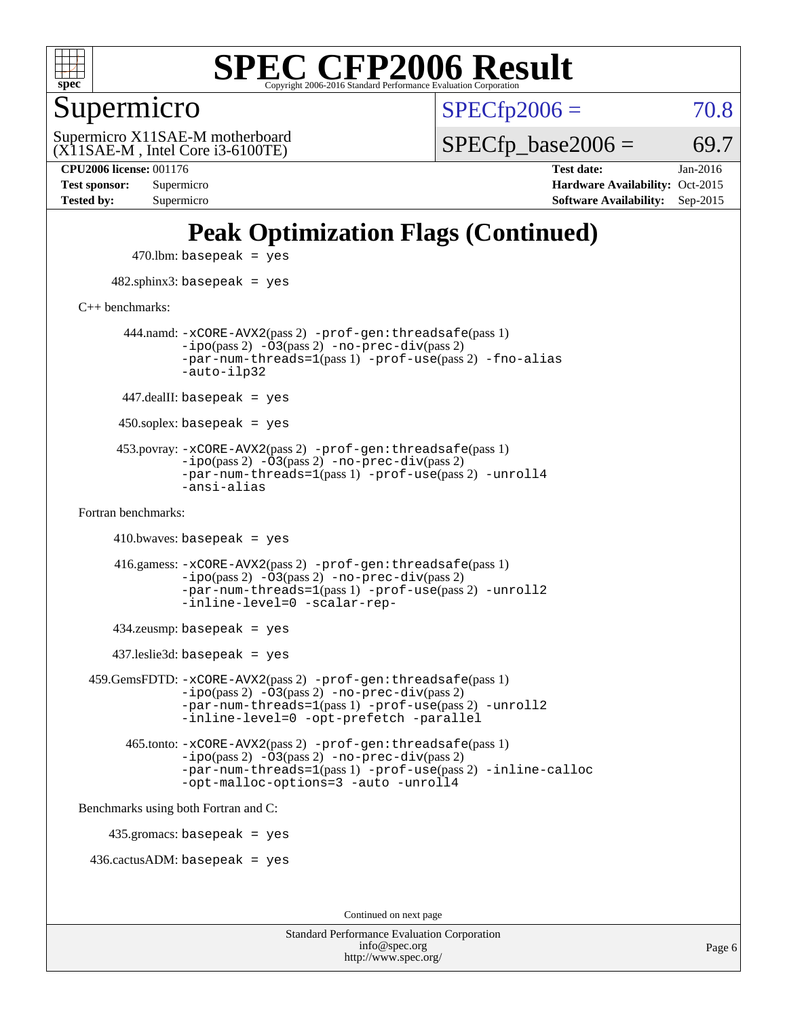

Supermicro

 $SPECTp2006 = 70.8$ 

(X11SAE-M , Intel Core i3-6100TE) Supermicro X11SAE-M motherboard  $SPECTp\_base2006 = 69.7$ 

**[CPU2006 license:](http://www.spec.org/auto/cpu2006/Docs/result-fields.html#CPU2006license)** 001176 **[Test date:](http://www.spec.org/auto/cpu2006/Docs/result-fields.html#Testdate)** Jan-2016 **[Test sponsor:](http://www.spec.org/auto/cpu2006/Docs/result-fields.html#Testsponsor)** Supermicro Supermicro **[Hardware Availability:](http://www.spec.org/auto/cpu2006/Docs/result-fields.html#HardwareAvailability)** Oct-2015 **[Tested by:](http://www.spec.org/auto/cpu2006/Docs/result-fields.html#Testedby)** Supermicro **[Software Availability:](http://www.spec.org/auto/cpu2006/Docs/result-fields.html#SoftwareAvailability)** Sep-2015

#### **[Peak Optimization Flags \(Continued\)](http://www.spec.org/auto/cpu2006/Docs/result-fields.html#PeakOptimizationFlags)**

 $470$ .lbm: basepeak = yes 482.sphinx3: basepeak = yes [C++ benchmarks:](http://www.spec.org/auto/cpu2006/Docs/result-fields.html#CXXbenchmarks) 444.namd: [-xCORE-AVX2](http://www.spec.org/cpu2006/results/res2016q1/cpu2006-20160206-38972.flags.html#user_peakPASS2_CXXFLAGSPASS2_LDFLAGS444_namd_f-xAVX2_5f5fc0cbe2c9f62c816d3e45806c70d7)(pass 2) [-prof-gen:threadsafe](http://www.spec.org/cpu2006/results/res2016q1/cpu2006-20160206-38972.flags.html#user_peakPASS1_CXXFLAGSPASS1_LDFLAGS444_namd_prof_gen_21a26eb79f378b550acd7bec9fe4467a)(pass 1)  $-i\text{po}(pass 2) -\overline{0}3(pass 2) -no-prec-div(pass 2)$  $-i\text{po}(pass 2) -\overline{0}3(pass 2) -no-prec-div(pass 2)$  $-i\text{po}(pass 2) -\overline{0}3(pass 2) -no-prec-div(pass 2)$ [-par-num-threads=1](http://www.spec.org/cpu2006/results/res2016q1/cpu2006-20160206-38972.flags.html#user_peakPASS1_CXXFLAGSPASS1_LDFLAGS444_namd_par_num_threads_786a6ff141b4e9e90432e998842df6c2)(pass 1) [-prof-use](http://www.spec.org/cpu2006/results/res2016q1/cpu2006-20160206-38972.flags.html#user_peakPASS2_CXXFLAGSPASS2_LDFLAGS444_namd_prof_use_bccf7792157ff70d64e32fe3e1250b55)(pass 2) [-fno-alias](http://www.spec.org/cpu2006/results/res2016q1/cpu2006-20160206-38972.flags.html#user_peakCXXOPTIMIZEOPTIMIZE444_namd_f-no-alias_694e77f6c5a51e658e82ccff53a9e63a) [-auto-ilp32](http://www.spec.org/cpu2006/results/res2016q1/cpu2006-20160206-38972.flags.html#user_peakCXXOPTIMIZE444_namd_f-auto-ilp32)  $447$ .dealII: basepeak = yes 450.soplex: basepeak = yes 453.povray: [-xCORE-AVX2](http://www.spec.org/cpu2006/results/res2016q1/cpu2006-20160206-38972.flags.html#user_peakPASS2_CXXFLAGSPASS2_LDFLAGS453_povray_f-xAVX2_5f5fc0cbe2c9f62c816d3e45806c70d7)(pass 2) [-prof-gen:threadsafe](http://www.spec.org/cpu2006/results/res2016q1/cpu2006-20160206-38972.flags.html#user_peakPASS1_CXXFLAGSPASS1_LDFLAGS453_povray_prof_gen_21a26eb79f378b550acd7bec9fe4467a)(pass 1)  $-ipo(pass 2)$  $-ipo(pass 2)$   $-03(pass 2)$   $-no-prec-div(pass 2)$  $-no-prec-div(pass 2)$ [-par-num-threads=1](http://www.spec.org/cpu2006/results/res2016q1/cpu2006-20160206-38972.flags.html#user_peakPASS1_CXXFLAGSPASS1_LDFLAGS453_povray_par_num_threads_786a6ff141b4e9e90432e998842df6c2)(pass 1) [-prof-use](http://www.spec.org/cpu2006/results/res2016q1/cpu2006-20160206-38972.flags.html#user_peakPASS2_CXXFLAGSPASS2_LDFLAGS453_povray_prof_use_bccf7792157ff70d64e32fe3e1250b55)(pass 2) [-unroll4](http://www.spec.org/cpu2006/results/res2016q1/cpu2006-20160206-38972.flags.html#user_peakCXXOPTIMIZE453_povray_f-unroll_4e5e4ed65b7fd20bdcd365bec371b81f) [-ansi-alias](http://www.spec.org/cpu2006/results/res2016q1/cpu2006-20160206-38972.flags.html#user_peakCXXOPTIMIZE453_povray_f-ansi-alias) [Fortran benchmarks](http://www.spec.org/auto/cpu2006/Docs/result-fields.html#Fortranbenchmarks):  $410.bwaves: basepeak = yes$  416.gamess: [-xCORE-AVX2](http://www.spec.org/cpu2006/results/res2016q1/cpu2006-20160206-38972.flags.html#user_peakPASS2_FFLAGSPASS2_LDFLAGS416_gamess_f-xAVX2_5f5fc0cbe2c9f62c816d3e45806c70d7)(pass 2) [-prof-gen:threadsafe](http://www.spec.org/cpu2006/results/res2016q1/cpu2006-20160206-38972.flags.html#user_peakPASS1_FFLAGSPASS1_LDFLAGS416_gamess_prof_gen_21a26eb79f378b550acd7bec9fe4467a)(pass 1)  $-i\text{po}(pass 2)$   $-\tilde{O}3(pass 2)$   $-no-prec-div(pass 2)$  $-no-prec-div(pass 2)$ [-par-num-threads=1](http://www.spec.org/cpu2006/results/res2016q1/cpu2006-20160206-38972.flags.html#user_peakPASS1_FFLAGSPASS1_LDFLAGS416_gamess_par_num_threads_786a6ff141b4e9e90432e998842df6c2)(pass 1) [-prof-use](http://www.spec.org/cpu2006/results/res2016q1/cpu2006-20160206-38972.flags.html#user_peakPASS2_FFLAGSPASS2_LDFLAGS416_gamess_prof_use_bccf7792157ff70d64e32fe3e1250b55)(pass 2) [-unroll2](http://www.spec.org/cpu2006/results/res2016q1/cpu2006-20160206-38972.flags.html#user_peakOPTIMIZE416_gamess_f-unroll_784dae83bebfb236979b41d2422d7ec2) [-inline-level=0](http://www.spec.org/cpu2006/results/res2016q1/cpu2006-20160206-38972.flags.html#user_peakOPTIMIZE416_gamess_f-inline-level_318d07a09274ad25e8d15dbfaa68ba50) [-scalar-rep-](http://www.spec.org/cpu2006/results/res2016q1/cpu2006-20160206-38972.flags.html#user_peakOPTIMIZE416_gamess_f-disablescalarrep_abbcad04450fb118e4809c81d83c8a1d) 434.zeusmp: basepeak = yes 437.leslie3d: basepeak = yes 459.GemsFDTD: [-xCORE-AVX2](http://www.spec.org/cpu2006/results/res2016q1/cpu2006-20160206-38972.flags.html#user_peakPASS2_FFLAGSPASS2_LDFLAGS459_GemsFDTD_f-xAVX2_5f5fc0cbe2c9f62c816d3e45806c70d7)(pass 2) [-prof-gen:threadsafe](http://www.spec.org/cpu2006/results/res2016q1/cpu2006-20160206-38972.flags.html#user_peakPASS1_FFLAGSPASS1_LDFLAGS459_GemsFDTD_prof_gen_21a26eb79f378b550acd7bec9fe4467a)(pass 1)  $-i\text{po}(pass 2) -\overline{0}3(pass 2) -no-prec-div(pass 2)$  $-i\text{po}(pass 2) -\overline{0}3(pass 2) -no-prec-div(pass 2)$  $-i\text{po}(pass 2) -\overline{0}3(pass 2) -no-prec-div(pass 2)$ [-par-num-threads=1](http://www.spec.org/cpu2006/results/res2016q1/cpu2006-20160206-38972.flags.html#user_peakPASS1_FFLAGSPASS1_LDFLAGS459_GemsFDTD_par_num_threads_786a6ff141b4e9e90432e998842df6c2)(pass 1) [-prof-use](http://www.spec.org/cpu2006/results/res2016q1/cpu2006-20160206-38972.flags.html#user_peakPASS2_FFLAGSPASS2_LDFLAGS459_GemsFDTD_prof_use_bccf7792157ff70d64e32fe3e1250b55)(pass 2) [-unroll2](http://www.spec.org/cpu2006/results/res2016q1/cpu2006-20160206-38972.flags.html#user_peakOPTIMIZE459_GemsFDTD_f-unroll_784dae83bebfb236979b41d2422d7ec2) [-inline-level=0](http://www.spec.org/cpu2006/results/res2016q1/cpu2006-20160206-38972.flags.html#user_peakOPTIMIZE459_GemsFDTD_f-inline-level_318d07a09274ad25e8d15dbfaa68ba50) [-opt-prefetch](http://www.spec.org/cpu2006/results/res2016q1/cpu2006-20160206-38972.flags.html#user_peakOPTIMIZE459_GemsFDTD_f-opt-prefetch) [-parallel](http://www.spec.org/cpu2006/results/res2016q1/cpu2006-20160206-38972.flags.html#user_peakOPTIMIZE459_GemsFDTD_f-parallel) 465.tonto: [-xCORE-AVX2](http://www.spec.org/cpu2006/results/res2016q1/cpu2006-20160206-38972.flags.html#user_peakPASS2_FFLAGSPASS2_LDFLAGS465_tonto_f-xAVX2_5f5fc0cbe2c9f62c816d3e45806c70d7)(pass 2) [-prof-gen:threadsafe](http://www.spec.org/cpu2006/results/res2016q1/cpu2006-20160206-38972.flags.html#user_peakPASS1_FFLAGSPASS1_LDFLAGS465_tonto_prof_gen_21a26eb79f378b550acd7bec9fe4467a)(pass 1)  $-i\text{po}(pass 2) -\overline{O}3(pass 2)$  [-no-prec-div](http://www.spec.org/cpu2006/results/res2016q1/cpu2006-20160206-38972.flags.html#user_peakPASS2_FFLAGSPASS2_LDFLAGS465_tonto_f-no-prec-div)(pass 2) [-par-num-threads=1](http://www.spec.org/cpu2006/results/res2016q1/cpu2006-20160206-38972.flags.html#user_peakPASS1_FFLAGSPASS1_LDFLAGS465_tonto_par_num_threads_786a6ff141b4e9e90432e998842df6c2)(pass 1) [-prof-use](http://www.spec.org/cpu2006/results/res2016q1/cpu2006-20160206-38972.flags.html#user_peakPASS2_FFLAGSPASS2_LDFLAGS465_tonto_prof_use_bccf7792157ff70d64e32fe3e1250b55)(pass 2) [-inline-calloc](http://www.spec.org/cpu2006/results/res2016q1/cpu2006-20160206-38972.flags.html#user_peakOPTIMIZE465_tonto_f-inline-calloc) [-opt-malloc-options=3](http://www.spec.org/cpu2006/results/res2016q1/cpu2006-20160206-38972.flags.html#user_peakOPTIMIZE465_tonto_f-opt-malloc-options_13ab9b803cf986b4ee62f0a5998c2238) [-auto](http://www.spec.org/cpu2006/results/res2016q1/cpu2006-20160206-38972.flags.html#user_peakOPTIMIZE465_tonto_f-auto) [-unroll4](http://www.spec.org/cpu2006/results/res2016q1/cpu2006-20160206-38972.flags.html#user_peakOPTIMIZE465_tonto_f-unroll_4e5e4ed65b7fd20bdcd365bec371b81f) [Benchmarks using both Fortran and C](http://www.spec.org/auto/cpu2006/Docs/result-fields.html#BenchmarksusingbothFortranandC): 435.gromacs: basepeak = yes 436.cactusADM: basepeak = yes Continued on next page